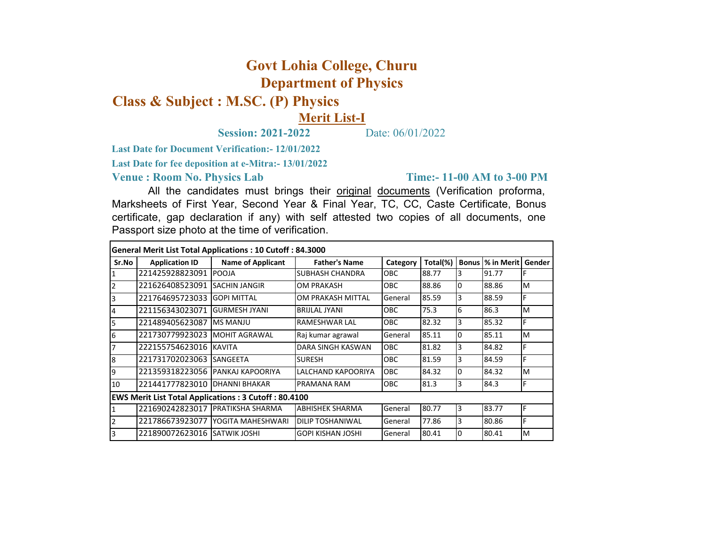## **Govt Lohia College, Churu Department of Physics**

## **Class & Subject : M.SC. (P) Physics**

## **Merit List-I**

**Session: 2021-2022** Date: 06/01/2022

**Last Date for Document Verification:- 12/01/2022**

**Last Date for fee deposition at e-Mitra:- 13/01/2022**

**Venue : Room No. Physics Lab** 

## **Time:- 11-00 AM to 3-00 PM**

All the candidates must brings their original documents (Verification proforma, Marksheets of First Year, Second Year & Final Year, TC, CC, Caste Certificate, Bonus certificate, gap declaration if any) with self attested two copies of all documents, one Passport size photo at the time of verification.

| <b>General Merit List Total Applications: 10 Cutoff: 84.3000</b> |                                  |                          |                          |            |          |              |            |        |  |  |  |  |
|------------------------------------------------------------------|----------------------------------|--------------------------|--------------------------|------------|----------|--------------|------------|--------|--|--|--|--|
| Sr.No                                                            | <b>Application ID</b>            | <b>Name of Applicant</b> | <b>Father's Name</b>     | Category   | Total(%) | <b>Bonus</b> | % in Merit | Gender |  |  |  |  |
|                                                                  | 221425928823091                  | <b>POOJA</b>             | SUBHASH CHANDRA          | OBC        | 88.77    | 3            | 91.77      |        |  |  |  |  |
| $\overline{2}$                                                   | 221626408523091                  | <b>SACHIN JANGIR</b>     | OM PRAKASH               | OBC.       | 88.86    | I٥           | 88.86      | M      |  |  |  |  |
| 3                                                                | 221764695723033                  | <b>GOPI MITTAL</b>       | OM PRAKASH MITTAL        | General    | 85.59    | 3            | 88.59      | F      |  |  |  |  |
| 4                                                                | 221156343023071                  | <b>GURMESH JYANI</b>     | <b>BRIJLAL JYANI</b>     | <b>OBC</b> | 75.3     | 6            | 86.3       | M      |  |  |  |  |
| 5                                                                | 221489405623087                  | <b>MS MANJU</b>          | RAMESHWAR LAL            | OBC        | 82.32    | 3            | 85.32      | F      |  |  |  |  |
| 6                                                                | 221730779923023                  | MOHIT AGRAWAL            | Raj kumar agrawal        | General    | 85.11    | lO           | 85.11      | M      |  |  |  |  |
| 7                                                                | 222155754623016                  | <b>KAVITA</b>            | DARA SINGH KASWAN        | OBC        | 81.82    | 3            | 84.82      | F      |  |  |  |  |
| 8                                                                | 221731702023063                  | <b>SANGEETA</b>          | <b>SURESH</b>            | OBC        | 81.59    | 3            | 84.59      | F      |  |  |  |  |
| 9                                                                | 221359318223056 PANKAJ KAPOORIYA |                          | LALCHAND KAPOORIYA       | OBC        | 84.32    | 10           | 84.32      | M      |  |  |  |  |
| 10                                                               | 221441777823010 DHANNI BHAKAR    |                          | PRAMANA RAM              | <b>OBC</b> | 81.3     | 3            | 84.3       | F      |  |  |  |  |
| <b>EWS Merit List Total Applications: 3 Cutoff: 80.4100</b>      |                                  |                          |                          |            |          |              |            |        |  |  |  |  |
|                                                                  | 221690242823017 PRATIKSHA SHARMA |                          | <b>ABHISHEK SHARMA</b>   | General    | 80.77    | 13           | 83.77      | F      |  |  |  |  |
| $\overline{2}$                                                   | 221786673923077                  | YOGITA MAHESHWARI        | <b>DILIP TOSHANIWAL</b>  | General    | 77.86    | 3            | 80.86      | F      |  |  |  |  |
| 3                                                                | 221890072623016 SATWIK JOSHI     |                          | <b>GOPI KISHAN JOSHI</b> | General    | 80.41    | 10           | 80.41      | M      |  |  |  |  |